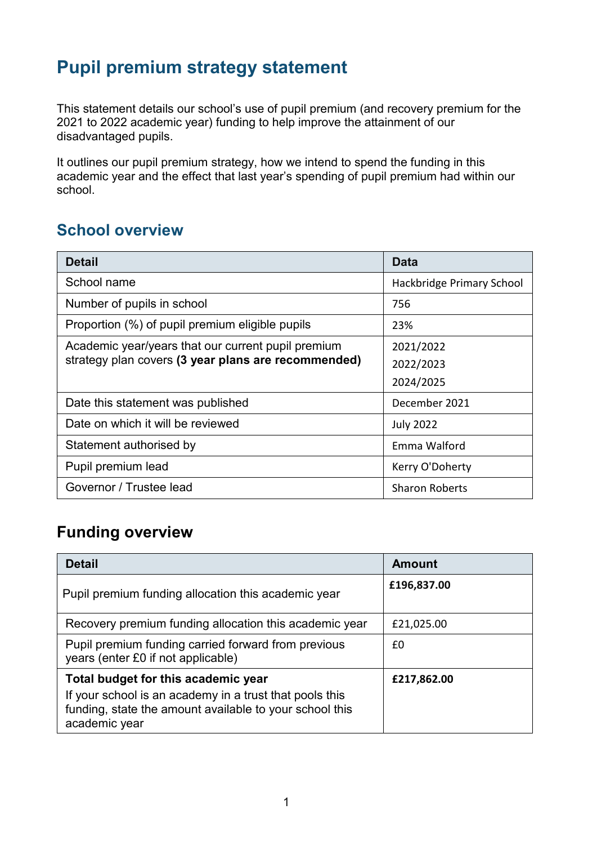## **Pupil premium strategy statement**

This statement details our school's use of pupil premium (and recovery premium for the 2021 to 2022 academic year) funding to help improve the attainment of our disadvantaged pupils.

It outlines our pupil premium strategy, how we intend to spend the funding in this academic year and the effect that last year's spending of pupil premium had within our school.

### **School overview**

| <b>Detail</b>                                       | Data                      |
|-----------------------------------------------------|---------------------------|
| School name                                         | Hackbridge Primary School |
| Number of pupils in school                          | 756                       |
| Proportion (%) of pupil premium eligible pupils     | 23%                       |
| Academic year/years that our current pupil premium  | 2021/2022                 |
| strategy plan covers (3 year plans are recommended) | 2022/2023                 |
|                                                     | 2024/2025                 |
| Date this statement was published                   | December 2021             |
| Date on which it will be reviewed                   | <b>July 2022</b>          |
| Statement authorised by                             | Emma Walford              |
| Pupil premium lead                                  | Kerry O'Doherty           |
| Governor / Trustee lead                             | <b>Sharon Roberts</b>     |

## **Funding overview**

| <b>Detail</b>                                                                                                                       | Amount      |
|-------------------------------------------------------------------------------------------------------------------------------------|-------------|
| Pupil premium funding allocation this academic year                                                                                 | £196,837.00 |
| Recovery premium funding allocation this academic year                                                                              | £21,025.00  |
| Pupil premium funding carried forward from previous<br>years (enter £0 if not applicable)                                           | £0          |
| Total budget for this academic year                                                                                                 | £217,862.00 |
| If your school is an academy in a trust that pools this<br>funding, state the amount available to your school this<br>academic year |             |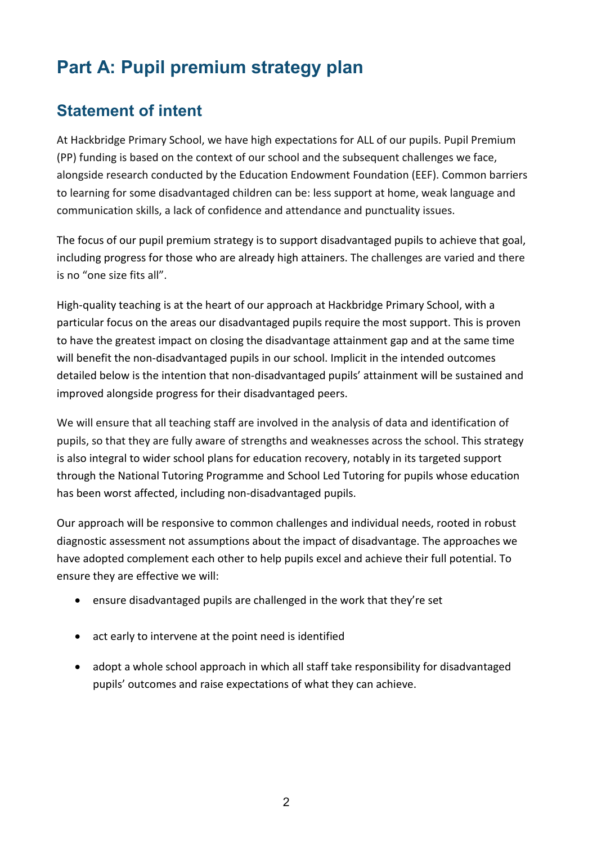# **Part A: Pupil premium strategy plan**

### **Statement of intent**

At Hackbridge Primary School, we have high expectations for ALL of our pupils. Pupil Premium (PP) funding is based on the context of our school and the subsequent challenges we face, alongside research conducted by the Education Endowment Foundation (EEF). Common barriers to learning for some disadvantaged children can be: less support at home, weak language and communication skills, a lack of confidence and attendance and punctuality issues.

The focus of our pupil premium strategy is to support disadvantaged pupils to achieve that goal, including progress for those who are already high attainers. The challenges are varied and there is no "one size fits all".

High-quality teaching is at the heart of our approach at Hackbridge Primary School, with a particular focus on the areas our disadvantaged pupils require the most support. This is proven to have the greatest impact on closing the disadvantage attainment gap and at the same time will benefit the non-disadvantaged pupils in our school. Implicit in the intended outcomes detailed below is the intention that non-disadvantaged pupils' attainment will be sustained and improved alongside progress for their disadvantaged peers.

We will ensure that all teaching staff are involved in the analysis of data and identification of pupils, so that they are fully aware of strengths and weaknesses across the school. This strategy is also integral to wider school plans for education recovery, notably in its targeted support through the National Tutoring Programme and School Led Tutoring for pupils whose education has been worst affected, including non-disadvantaged pupils.

Our approach will be responsive to common challenges and individual needs, rooted in robust diagnostic assessment not assumptions about the impact of disadvantage. The approaches we have adopted complement each other to help pupils excel and achieve their full potential. To ensure they are effective we will:

- ensure disadvantaged pupils are challenged in the work that they're set
- act early to intervene at the point need is identified
- adopt a whole school approach in which all staff take responsibility for disadvantaged pupils' outcomes and raise expectations of what they can achieve.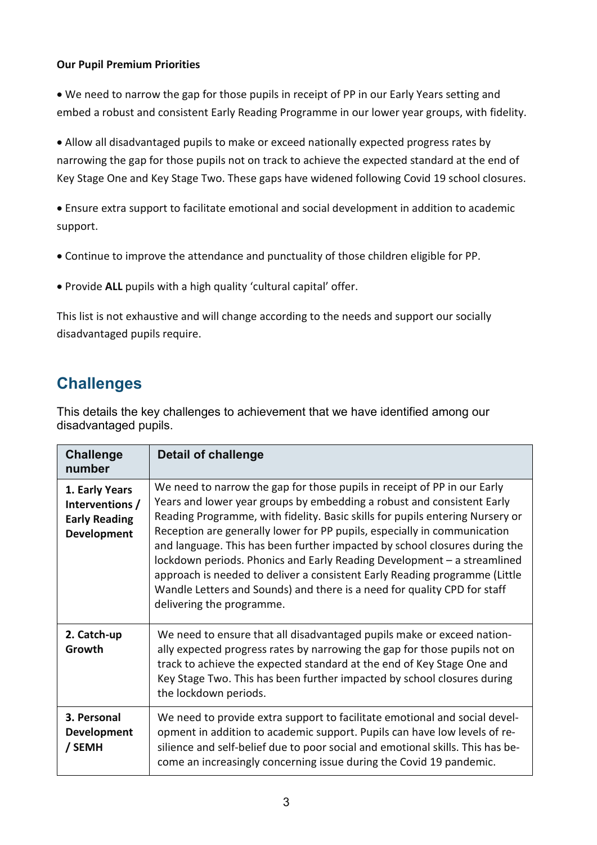#### **Our Pupil Premium Priorities**

• We need to narrow the gap for those pupils in receipt of PP in our Early Years setting and embed a robust and consistent Early Reading Programme in our lower year groups, with fidelity.

• Allow all disadvantaged pupils to make or exceed nationally expected progress rates by narrowing the gap for those pupils not on track to achieve the expected standard at the end of Key Stage One and Key Stage Two. These gaps have widened following Covid 19 school closures.

• Ensure extra support to facilitate emotional and social development in addition to academic support.

- Continue to improve the attendance and punctuality of those children eligible for PP.
- Provide **ALL** pupils with a high quality 'cultural capital' offer.

This list is not exhaustive and will change according to the needs and support our socially disadvantaged pupils require.

### **Challenges**

This details the key challenges to achievement that we have identified among our disadvantaged pupils.

| <b>Challenge</b><br>number                                                      | <b>Detail of challenge</b>                                                                                                                                                                                                                                                                                                                                                                                                                                                                                                                                                                                                                                      |
|---------------------------------------------------------------------------------|-----------------------------------------------------------------------------------------------------------------------------------------------------------------------------------------------------------------------------------------------------------------------------------------------------------------------------------------------------------------------------------------------------------------------------------------------------------------------------------------------------------------------------------------------------------------------------------------------------------------------------------------------------------------|
| 1. Early Years<br>Interventions /<br><b>Early Reading</b><br><b>Development</b> | We need to narrow the gap for those pupils in receipt of PP in our Early<br>Years and lower year groups by embedding a robust and consistent Early<br>Reading Programme, with fidelity. Basic skills for pupils entering Nursery or<br>Reception are generally lower for PP pupils, especially in communication<br>and language. This has been further impacted by school closures during the<br>lockdown periods. Phonics and Early Reading Development - a streamlined<br>approach is needed to deliver a consistent Early Reading programme (Little<br>Wandle Letters and Sounds) and there is a need for quality CPD for staff<br>delivering the programme. |
| 2. Catch-up<br>Growth                                                           | We need to ensure that all disadvantaged pupils make or exceed nation-<br>ally expected progress rates by narrowing the gap for those pupils not on<br>track to achieve the expected standard at the end of Key Stage One and<br>Key Stage Two. This has been further impacted by school closures during<br>the lockdown periods.                                                                                                                                                                                                                                                                                                                               |
| 3. Personal<br><b>Development</b><br>/ SEMH                                     | We need to provide extra support to facilitate emotional and social devel-<br>opment in addition to academic support. Pupils can have low levels of re-<br>silience and self-belief due to poor social and emotional skills. This has be-<br>come an increasingly concerning issue during the Covid 19 pandemic.                                                                                                                                                                                                                                                                                                                                                |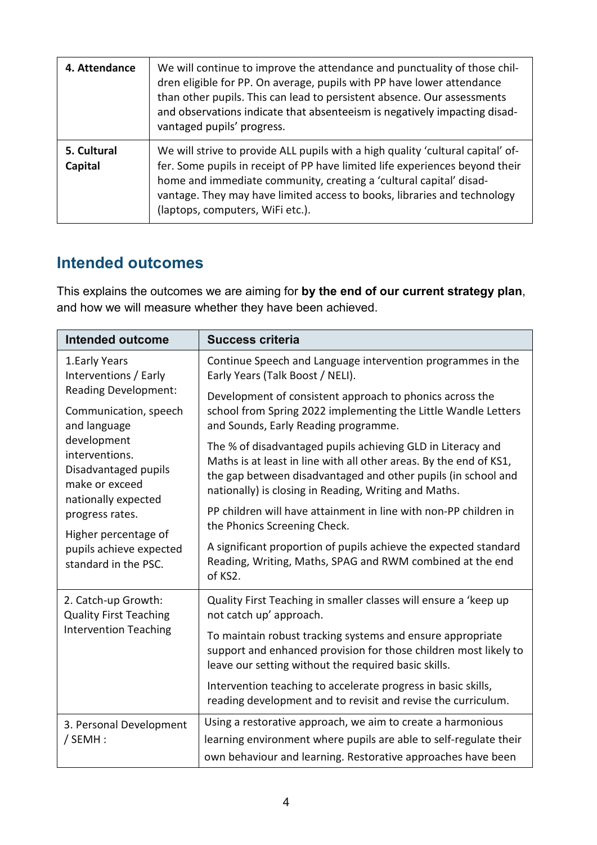| 4. Attendance          | We will continue to improve the attendance and punctuality of those chil-<br>dren eligible for PP. On average, pupils with PP have lower attendance<br>than other pupils. This can lead to persistent absence. Our assessments<br>and observations indicate that absenteeism is negatively impacting disad-<br>vantaged pupils' progress.             |
|------------------------|-------------------------------------------------------------------------------------------------------------------------------------------------------------------------------------------------------------------------------------------------------------------------------------------------------------------------------------------------------|
| 5. Cultural<br>Capital | We will strive to provide ALL pupils with a high quality 'cultural capital' of-<br>fer. Some pupils in receipt of PP have limited life experiences beyond their<br>home and immediate community, creating a 'cultural capital' disad-<br>vantage. They may have limited access to books, libraries and technology<br>(laptops, computers, WiFi etc.). |

### **Intended outcomes**

This explains the outcomes we are aiming for **by the end of our current strategy plan**, and how we will measure whether they have been achieved.

| <b>Intended outcome</b>                                                                                                                                                | <b>Success criteria</b>                                                                                                                                                                                                                                     |
|------------------------------------------------------------------------------------------------------------------------------------------------------------------------|-------------------------------------------------------------------------------------------------------------------------------------------------------------------------------------------------------------------------------------------------------------|
| 1. Early Years<br>Interventions / Early                                                                                                                                | Continue Speech and Language intervention programmes in the<br>Early Years (Talk Boost / NELI).                                                                                                                                                             |
| <b>Reading Development:</b><br>Communication, speech<br>and language<br>development<br>interventions.<br>Disadvantaged pupils<br>make or exceed<br>nationally expected | Development of consistent approach to phonics across the<br>school from Spring 2022 implementing the Little Wandle Letters<br>and Sounds, Early Reading programme.                                                                                          |
|                                                                                                                                                                        | The % of disadvantaged pupils achieving GLD in Literacy and<br>Maths is at least in line with all other areas. By the end of KS1,<br>the gap between disadvantaged and other pupils (in school and<br>nationally) is closing in Reading, Writing and Maths. |
| progress rates.<br>Higher percentage of                                                                                                                                | PP children will have attainment in line with non-PP children in<br>the Phonics Screening Check.                                                                                                                                                            |
| pupils achieve expected<br>standard in the PSC.                                                                                                                        | A significant proportion of pupils achieve the expected standard<br>Reading, Writing, Maths, SPAG and RWM combined at the end<br>of KS2.                                                                                                                    |
| 2. Catch-up Growth:<br><b>Quality First Teaching</b>                                                                                                                   | Quality First Teaching in smaller classes will ensure a 'keep up<br>not catch up' approach.                                                                                                                                                                 |
| <b>Intervention Teaching</b>                                                                                                                                           | To maintain robust tracking systems and ensure appropriate<br>support and enhanced provision for those children most likely to<br>leave our setting without the required basic skills.                                                                      |
|                                                                                                                                                                        | Intervention teaching to accelerate progress in basic skills,<br>reading development and to revisit and revise the curriculum.                                                                                                                              |
| 3. Personal Development                                                                                                                                                | Using a restorative approach, we aim to create a harmonious                                                                                                                                                                                                 |
| / SEMH:                                                                                                                                                                | learning environment where pupils are able to self-regulate their<br>own behaviour and learning. Restorative approaches have been                                                                                                                           |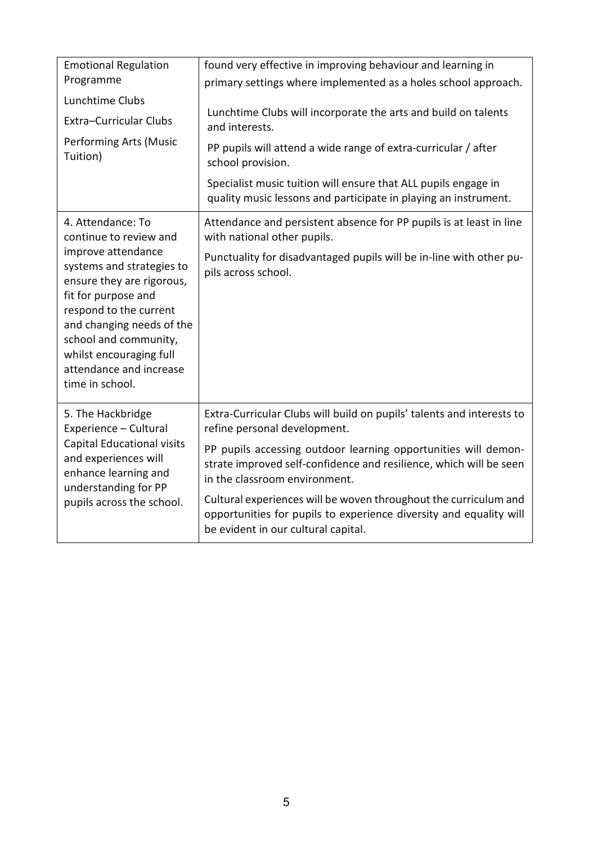| <b>Emotional Regulation</b><br>Programme                                                                                                                                                                                                                     | found very effective in improving behaviour and learning in<br>primary settings where implemented as a holes school approach.                                                 |
|--------------------------------------------------------------------------------------------------------------------------------------------------------------------------------------------------------------------------------------------------------------|-------------------------------------------------------------------------------------------------------------------------------------------------------------------------------|
| Lunchtime Clubs                                                                                                                                                                                                                                              |                                                                                                                                                                               |
| <b>Extra-Curricular Clubs</b>                                                                                                                                                                                                                                | Lunchtime Clubs will incorporate the arts and build on talents<br>and interests.                                                                                              |
| <b>Performing Arts (Music</b><br>Tuition)                                                                                                                                                                                                                    | PP pupils will attend a wide range of extra-curricular / after<br>school provision.                                                                                           |
|                                                                                                                                                                                                                                                              | Specialist music tuition will ensure that ALL pupils engage in<br>quality music lessons and participate in playing an instrument.                                             |
| 4. Attendance: To<br>continue to review and                                                                                                                                                                                                                  | Attendance and persistent absence for PP pupils is at least in line<br>with national other pupils.                                                                            |
| improve attendance<br>systems and strategies to<br>ensure they are rigorous,<br>fit for purpose and<br>respond to the current<br>and changing needs of the<br>school and community,<br>whilst encouraging full<br>attendance and increase<br>time in school. | Punctuality for disadvantaged pupils will be in-line with other pu-<br>pils across school.                                                                                    |
| 5. The Hackbridge<br>Experience - Cultural                                                                                                                                                                                                                   | Extra-Curricular Clubs will build on pupils' talents and interests to<br>refine personal development.                                                                         |
| Capital Educational visits<br>and experiences will<br>enhance learning and<br>understanding for PP<br>pupils across the school.                                                                                                                              | PP pupils accessing outdoor learning opportunities will demon-<br>strate improved self-confidence and resilience, which will be seen<br>in the classroom environment.         |
|                                                                                                                                                                                                                                                              | Cultural experiences will be woven throughout the curriculum and<br>opportunities for pupils to experience diversity and equality will<br>be evident in our cultural capital. |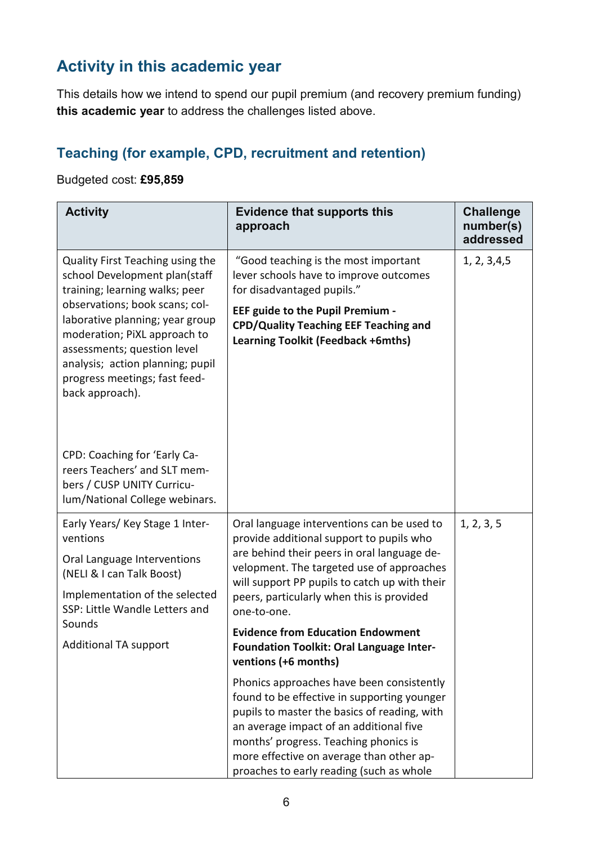## **Activity in this academic year**

This details how we intend to spend our pupil premium (and recovery premium funding) **this academic year** to address the challenges listed above.

### **Teaching (for example, CPD, recruitment and retention)**

#### Budgeted cost: **£95,859**

| <b>Activity</b>                                                                                                                                                                                                                                                                                                                                                                                 | <b>Evidence that supports this</b><br>approach                                                                                                                                                                                                                                                                       | <b>Challenge</b><br>number(s)<br>addressed |
|-------------------------------------------------------------------------------------------------------------------------------------------------------------------------------------------------------------------------------------------------------------------------------------------------------------------------------------------------------------------------------------------------|----------------------------------------------------------------------------------------------------------------------------------------------------------------------------------------------------------------------------------------------------------------------------------------------------------------------|--------------------------------------------|
| Quality First Teaching using the<br>school Development plan(staff<br>training; learning walks; peer<br>observations; book scans; col-<br>laborative planning; year group<br>moderation; PiXL approach to<br>assessments; question level<br>analysis; action planning; pupil<br>progress meetings; fast feed-<br>back approach).<br>CPD: Coaching for 'Early Ca-<br>reers Teachers' and SLT mem- | "Good teaching is the most important<br>lever schools have to improve outcomes<br>for disadvantaged pupils."<br><b>EEF guide to the Pupil Premium -</b><br><b>CPD/Quality Teaching EEF Teaching and</b><br>Learning Toolkit (Feedback +6mths)                                                                        | 1, 2, 3, 4, 5                              |
| bers / CUSP UNITY Curricu-<br>lum/National College webinars.                                                                                                                                                                                                                                                                                                                                    |                                                                                                                                                                                                                                                                                                                      |                                            |
| Early Years/ Key Stage 1 Inter-<br>ventions<br>Oral Language Interventions<br>(NELI & I can Talk Boost)<br>Implementation of the selected<br>SSP: Little Wandle Letters and                                                                                                                                                                                                                     | Oral language interventions can be used to<br>provide additional support to pupils who<br>are behind their peers in oral language de-<br>velopment. The targeted use of approaches<br>will support PP pupils to catch up with their<br>peers, particularly when this is provided<br>one-to-one.                      | 1, 2, 3, 5                                 |
| Sounds<br><b>Additional TA support</b>                                                                                                                                                                                                                                                                                                                                                          | <b>Evidence from Education Endowment</b><br>Foundation Toolkit: Oral Language Inter-<br>ventions (+6 months)                                                                                                                                                                                                         |                                            |
|                                                                                                                                                                                                                                                                                                                                                                                                 | Phonics approaches have been consistently<br>found to be effective in supporting younger<br>pupils to master the basics of reading, with<br>an average impact of an additional five<br>months' progress. Teaching phonics is<br>more effective on average than other ap-<br>proaches to early reading (such as whole |                                            |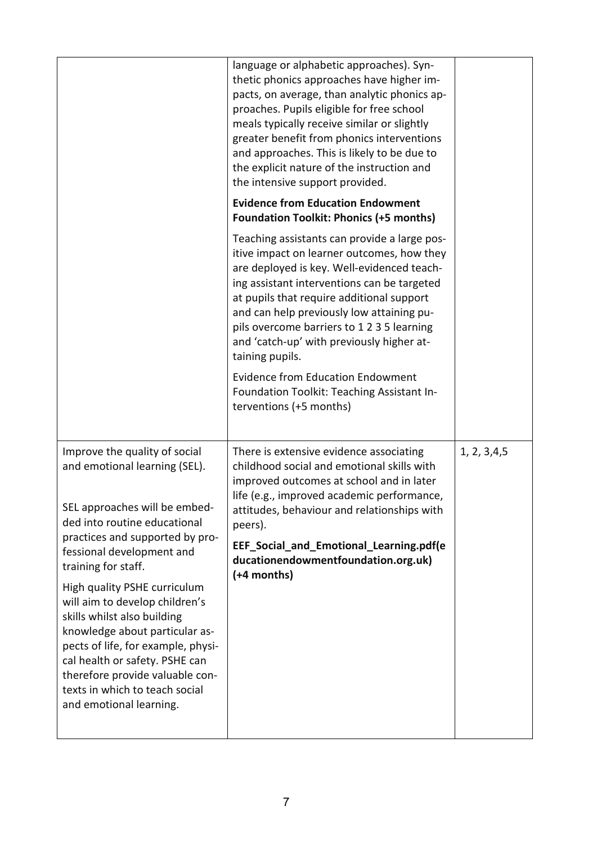|                                                                                                                                                                                                                                                                                                                                                                                                                                                                                                                                   | language or alphabetic approaches). Syn-<br>thetic phonics approaches have higher im-<br>pacts, on average, than analytic phonics ap-<br>proaches. Pupils eligible for free school<br>meals typically receive similar or slightly<br>greater benefit from phonics interventions<br>and approaches. This is likely to be due to<br>the explicit nature of the instruction and<br>the intensive support provided.<br><b>Evidence from Education Endowment</b>                                                                                                         |               |
|-----------------------------------------------------------------------------------------------------------------------------------------------------------------------------------------------------------------------------------------------------------------------------------------------------------------------------------------------------------------------------------------------------------------------------------------------------------------------------------------------------------------------------------|---------------------------------------------------------------------------------------------------------------------------------------------------------------------------------------------------------------------------------------------------------------------------------------------------------------------------------------------------------------------------------------------------------------------------------------------------------------------------------------------------------------------------------------------------------------------|---------------|
|                                                                                                                                                                                                                                                                                                                                                                                                                                                                                                                                   | <b>Foundation Toolkit: Phonics (+5 months)</b><br>Teaching assistants can provide a large pos-<br>itive impact on learner outcomes, how they<br>are deployed is key. Well-evidenced teach-<br>ing assistant interventions can be targeted<br>at pupils that require additional support<br>and can help previously low attaining pu-<br>pils overcome barriers to 1235 learning<br>and 'catch-up' with previously higher at-<br>taining pupils.<br><b>Evidence from Education Endowment</b><br>Foundation Toolkit: Teaching Assistant In-<br>terventions (+5 months) |               |
| Improve the quality of social<br>and emotional learning (SEL).<br>SEL approaches will be embed-<br>ded into routine educational<br>practices and supported by pro-<br>fessional development and<br>training for staff.<br>High quality PSHE curriculum<br>will aim to develop children's<br>skills whilst also building<br>knowledge about particular as-<br>pects of life, for example, physi-<br>cal health or safety. PSHE can<br>therefore provide valuable con-<br>texts in which to teach social<br>and emotional learning. | There is extensive evidence associating<br>childhood social and emotional skills with<br>improved outcomes at school and in later<br>life (e.g., improved academic performance,<br>attitudes, behaviour and relationships with<br>peers).<br>EEF_Social_and_Emotional_Learning.pdf(e<br>ducationendowmentfoundation.org.uk)<br>(+4 months)                                                                                                                                                                                                                          | 1, 2, 3, 4, 5 |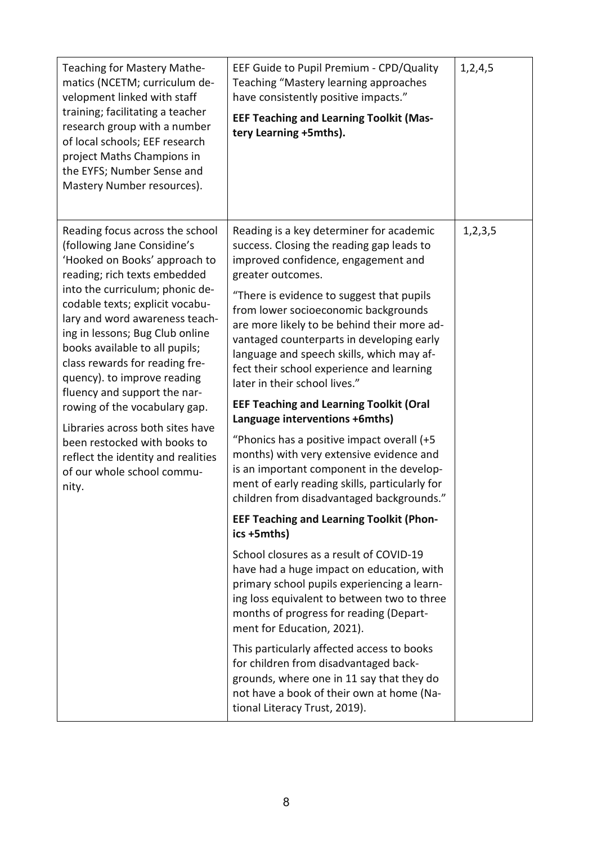| Teaching "Mastery learning approaches<br>matics (NCETM; curriculum de-<br>velopment linked with staff<br>training; facilitating a teacher<br>research group with a number<br>of local schools; EEF research<br>project Maths Champions in<br>the EYFS; Number Sense and<br>Mastery Number resources).                                                                                                                                                                                                                                                                                           | have consistently positive impacts."<br><b>EEF Teaching and Learning Toolkit (Mas-</b><br>tery Learning +5mths).                                                                                                                                                                                                                                                                                                                                                                                                                                                                                                                                                                                                                                                                                                                                                                                                                                                                                                                                                                                                                                                                                                                                                                                                                           |            |
|-------------------------------------------------------------------------------------------------------------------------------------------------------------------------------------------------------------------------------------------------------------------------------------------------------------------------------------------------------------------------------------------------------------------------------------------------------------------------------------------------------------------------------------------------------------------------------------------------|--------------------------------------------------------------------------------------------------------------------------------------------------------------------------------------------------------------------------------------------------------------------------------------------------------------------------------------------------------------------------------------------------------------------------------------------------------------------------------------------------------------------------------------------------------------------------------------------------------------------------------------------------------------------------------------------------------------------------------------------------------------------------------------------------------------------------------------------------------------------------------------------------------------------------------------------------------------------------------------------------------------------------------------------------------------------------------------------------------------------------------------------------------------------------------------------------------------------------------------------------------------------------------------------------------------------------------------------|------------|
| Reading focus across the school<br>(following Jane Considine's<br>'Hooked on Books' approach to<br>reading; rich texts embedded<br>into the curriculum; phonic de-<br>codable texts; explicit vocabu-<br>lary and word awareness teach-<br>ing in lessons; Bug Club online<br>books available to all pupils;<br>class rewards for reading fre-<br>quency). to improve reading<br>fluency and support the nar-<br>rowing of the vocabulary gap.<br>Libraries across both sites have<br>been restocked with books to<br>reflect the identity and realities<br>of our whole school commu-<br>nity. | Reading is a key determiner for academic<br>success. Closing the reading gap leads to<br>improved confidence, engagement and<br>greater outcomes.<br>"There is evidence to suggest that pupils<br>from lower socioeconomic backgrounds<br>are more likely to be behind their more ad-<br>vantaged counterparts in developing early<br>language and speech skills, which may af-<br>fect their school experience and learning<br>later in their school lives."<br><b>EEF Teaching and Learning Toolkit (Oral</b><br>Language interventions +6mths)<br>"Phonics has a positive impact overall (+5<br>months) with very extensive evidence and<br>is an important component in the develop-<br>ment of early reading skills, particularly for<br>children from disadvantaged backgrounds."<br><b>EEF Teaching and Learning Toolkit (Phon-</b><br>ics +5mths)<br>School closures as a result of COVID-19<br>have had a huge impact on education, with<br>primary school pupils experiencing a learn-<br>ing loss equivalent to between two to three<br>months of progress for reading (Depart-<br>ment for Education, 2021).<br>This particularly affected access to books<br>for children from disadvantaged back-<br>grounds, where one in 11 say that they do<br>not have a book of their own at home (Na-<br>tional Literacy Trust, 2019). | 1, 2, 3, 5 |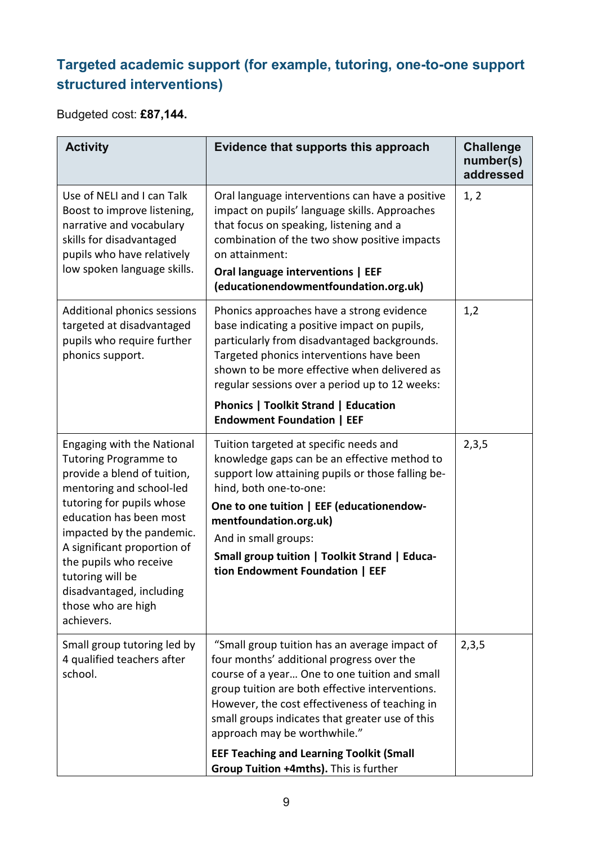#### **Targeted academic support (for example, tutoring, one-to-one support structured interventions)**

Budgeted cost: **£87,144.**

| <b>Activity</b>                                                                                                                                                                      | Evidence that supports this approach                                                                                                                                                                                                                                                                                                | <b>Challenge</b><br>number(s)<br>addressed |
|--------------------------------------------------------------------------------------------------------------------------------------------------------------------------------------|-------------------------------------------------------------------------------------------------------------------------------------------------------------------------------------------------------------------------------------------------------------------------------------------------------------------------------------|--------------------------------------------|
| Use of NELI and I can Talk<br>Boost to improve listening,<br>narrative and vocabulary<br>skills for disadvantaged<br>pupils who have relatively<br>low spoken language skills.       | Oral language interventions can have a positive<br>impact on pupils' language skills. Approaches<br>that focus on speaking, listening and a<br>combination of the two show positive impacts<br>on attainment:<br>Oral language interventions   EEF<br>(educationendowmentfoundation.org.uk)                                         | 1, 2                                       |
| Additional phonics sessions<br>targeted at disadvantaged<br>pupils who require further<br>phonics support.                                                                           | Phonics approaches have a strong evidence<br>base indicating a positive impact on pupils,<br>particularly from disadvantaged backgrounds.<br>Targeted phonics interventions have been<br>shown to be more effective when delivered as<br>regular sessions over a period up to 12 weeks:                                             | 1,2                                        |
|                                                                                                                                                                                      | <b>Phonics   Toolkit Strand   Education</b><br><b>Endowment Foundation   EEF</b>                                                                                                                                                                                                                                                    |                                            |
| <b>Engaging with the National</b><br><b>Tutoring Programme to</b><br>provide a blend of tuition,<br>mentoring and school-led<br>tutoring for pupils whose<br>education has been most | Tuition targeted at specific needs and<br>knowledge gaps can be an effective method to<br>support low attaining pupils or those falling be-<br>hind, both one-to-one:<br>One to one tuition   EEF (educationendow-<br>mentfoundation.org.uk)                                                                                        | 2,3,5                                      |
| impacted by the pandemic.<br>A significant proportion of<br>the pupils who receive<br>tutoring will be<br>disadvantaged, including<br>those who are high<br>achievers.               | And in small groups:<br>Small group tuition   Toolkit Strand   Educa-<br>tion Endowment Foundation   EEF                                                                                                                                                                                                                            |                                            |
| Small group tutoring led by<br>4 qualified teachers after<br>school.                                                                                                                 | "Small group tuition has an average impact of<br>four months' additional progress over the<br>course of a year One to one tuition and small<br>group tuition are both effective interventions.<br>However, the cost effectiveness of teaching in<br>small groups indicates that greater use of this<br>approach may be worthwhile." | 2,3,5                                      |
|                                                                                                                                                                                      | <b>EEF Teaching and Learning Toolkit (Small</b><br>Group Tuition +4mths). This is further                                                                                                                                                                                                                                           |                                            |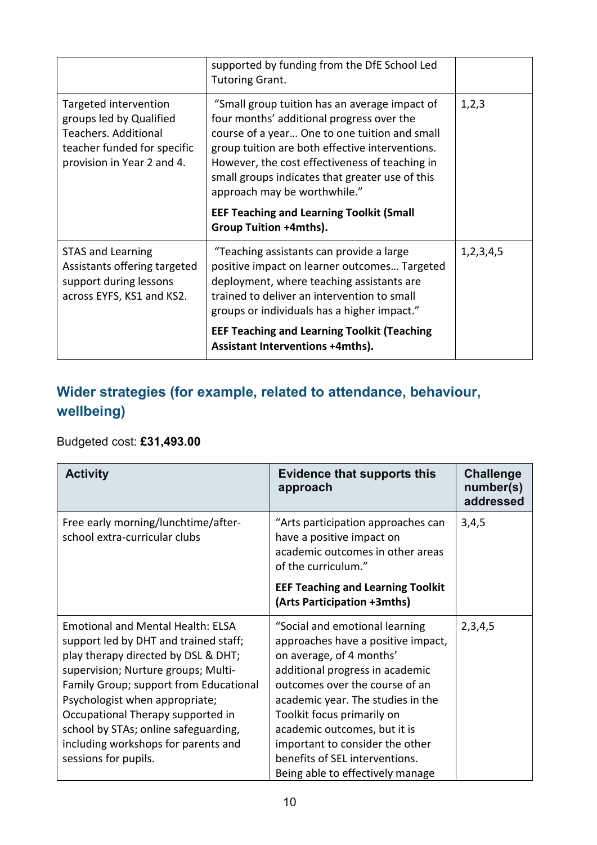|                                                                                                                                              | supported by funding from the DfE School Led<br><b>Tutoring Grant.</b>                                                                                                                                                                                                                                                                                                                                           |               |
|----------------------------------------------------------------------------------------------------------------------------------------------|------------------------------------------------------------------------------------------------------------------------------------------------------------------------------------------------------------------------------------------------------------------------------------------------------------------------------------------------------------------------------------------------------------------|---------------|
| Targeted intervention<br>groups led by Qualified<br><b>Teachers. Additional</b><br>teacher funded for specific<br>provision in Year 2 and 4. | "Small group tuition has an average impact of<br>four months' additional progress over the<br>course of a year One to one tuition and small<br>group tuition are both effective interventions.<br>However, the cost effectiveness of teaching in<br>small groups indicates that greater use of this<br>approach may be worthwhile."<br><b>EEF Teaching and Learning Toolkit (Small</b><br>Group Tuition +4mths). | 1,2,3         |
| <b>STAS and Learning</b><br>Assistants offering targeted<br>support during lessons<br>across EYFS, KS1 and KS2.                              | "Teaching assistants can provide a large<br>positive impact on learner outcomes Targeted<br>deployment, where teaching assistants are<br>trained to deliver an intervention to small<br>groups or individuals has a higher impact."<br><b>EEF Teaching and Learning Toolkit (Teaching</b><br><b>Assistant Interventions +4mths).</b>                                                                             | 1, 2, 3, 4, 5 |

### **Wider strategies (for example, related to attendance, behaviour, wellbeing)**

#### Budgeted cost: **£31,493.00**

| <b>Activity</b>                                                                                                                                                                                                                                                                                                                                                                         | <b>Evidence that supports this</b><br>approach                                                                                                                                                                                                                                                                                                                                    | <b>Challenge</b><br>number(s)<br>addressed |
|-----------------------------------------------------------------------------------------------------------------------------------------------------------------------------------------------------------------------------------------------------------------------------------------------------------------------------------------------------------------------------------------|-----------------------------------------------------------------------------------------------------------------------------------------------------------------------------------------------------------------------------------------------------------------------------------------------------------------------------------------------------------------------------------|--------------------------------------------|
| Free early morning/lunchtime/after-<br>school extra-curricular clubs                                                                                                                                                                                                                                                                                                                    | "Arts participation approaches can<br>have a positive impact on<br>academic outcomes in other areas<br>of the curriculum."<br><b>EEF Teaching and Learning Toolkit</b><br>(Arts Participation +3mths)                                                                                                                                                                             | 3,4,5                                      |
| <b>Emotional and Mental Health: ELSA</b><br>support led by DHT and trained staff;<br>play therapy directed by DSL & DHT;<br>supervision; Nurture groups; Multi-<br>Family Group; support from Educational<br>Psychologist when appropriate;<br>Occupational Therapy supported in<br>school by STAs; online safeguarding,<br>including workshops for parents and<br>sessions for pupils. | "Social and emotional learning<br>approaches have a positive impact,<br>on average, of 4 months'<br>additional progress in academic<br>outcomes over the course of an<br>academic year. The studies in the<br>Toolkit focus primarily on<br>academic outcomes, but it is<br>important to consider the other<br>benefits of SEL interventions.<br>Being able to effectively manage | 2,3,4,5                                    |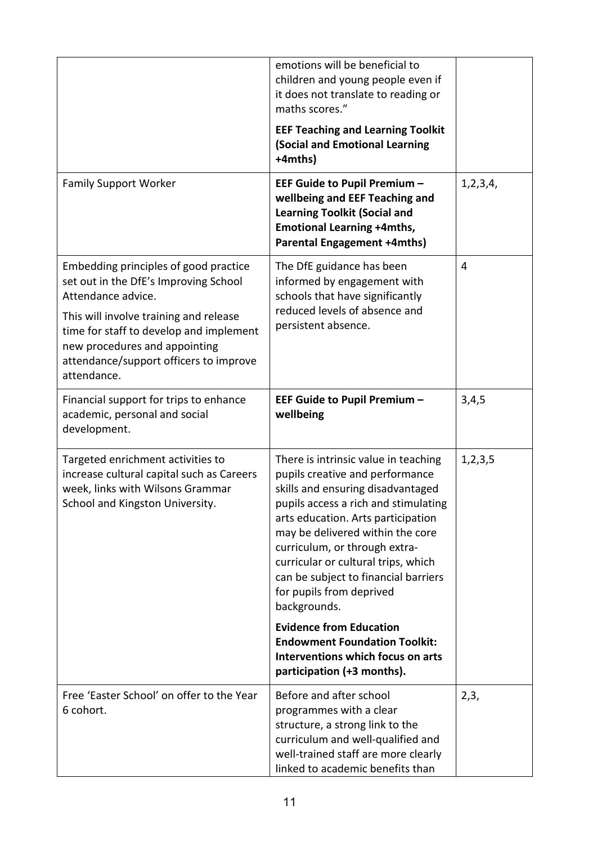|                                                                                                                                                                             | emotions will be beneficial to<br>children and young people even if<br>it does not translate to reading or<br>maths scores."                                                                                                                                                                                                                                                               |            |
|-----------------------------------------------------------------------------------------------------------------------------------------------------------------------------|--------------------------------------------------------------------------------------------------------------------------------------------------------------------------------------------------------------------------------------------------------------------------------------------------------------------------------------------------------------------------------------------|------------|
|                                                                                                                                                                             | <b>EEF Teaching and Learning Toolkit</b><br>(Social and Emotional Learning<br>+4mths)                                                                                                                                                                                                                                                                                                      |            |
| <b>Family Support Worker</b>                                                                                                                                                | EEF Guide to Pupil Premium -<br>wellbeing and EEF Teaching and<br><b>Learning Toolkit (Social and</b><br><b>Emotional Learning +4mths,</b><br><b>Parental Engagement +4mths)</b>                                                                                                                                                                                                           | 1,2,3,4,   |
| Embedding principles of good practice<br>set out in the DfE's Improving School<br>Attendance advice.                                                                        | The DfE guidance has been<br>informed by engagement with<br>schools that have significantly<br>reduced levels of absence and                                                                                                                                                                                                                                                               | 4          |
| This will involve training and release<br>time for staff to develop and implement<br>new procedures and appointing<br>attendance/support officers to improve<br>attendance. | persistent absence.                                                                                                                                                                                                                                                                                                                                                                        |            |
| Financial support for trips to enhance<br>academic, personal and social<br>development.                                                                                     | EEF Guide to Pupil Premium -<br>wellbeing                                                                                                                                                                                                                                                                                                                                                  | 3,4,5      |
| Targeted enrichment activities to<br>increase cultural capital such as Careers<br>week, links with Wilsons Grammar<br>School and Kingston University.                       | There is intrinsic value in teaching<br>pupils creative and performance<br>skills and ensuring disadvantaged<br>pupils access a rich and stimulating<br>arts education. Arts participation<br>may be delivered within the core<br>curriculum, or through extra-<br>curricular or cultural trips, which<br>can be subject to financial barriers<br>for pupils from deprived<br>backgrounds. | 1, 2, 3, 5 |
|                                                                                                                                                                             | <b>Evidence from Education</b><br><b>Endowment Foundation Toolkit:</b><br>Interventions which focus on arts<br>participation (+3 months).                                                                                                                                                                                                                                                  |            |
| Free 'Easter School' on offer to the Year<br>6 cohort.                                                                                                                      | Before and after school<br>programmes with a clear<br>structure, a strong link to the<br>curriculum and well-qualified and<br>well-trained staff are more clearly<br>linked to academic benefits than                                                                                                                                                                                      | 2,3,       |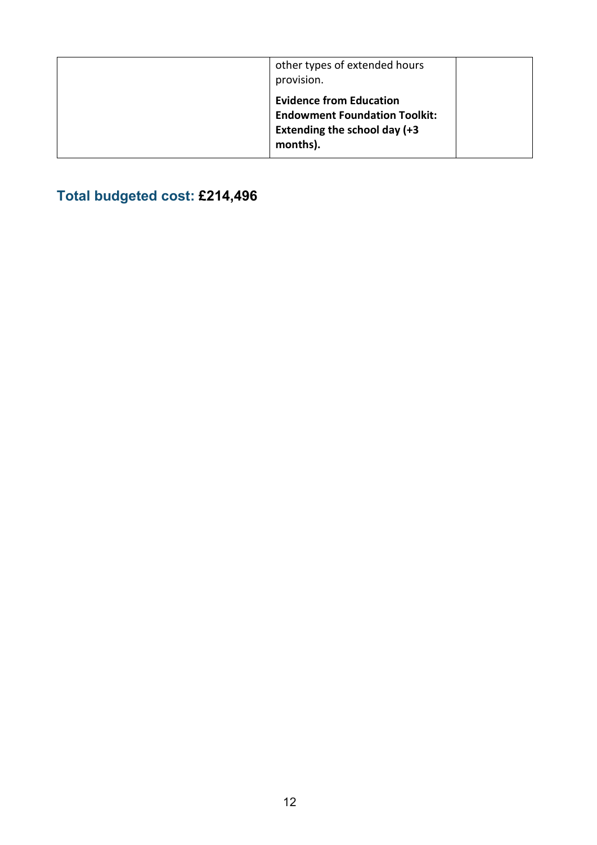| other types of extended hours<br>provision.                                                                        |  |
|--------------------------------------------------------------------------------------------------------------------|--|
| <b>Evidence from Education</b><br><b>Endowment Foundation Toolkit:</b><br>Extending the school day (+3<br>months). |  |

## **Total budgeted cost: £214,496**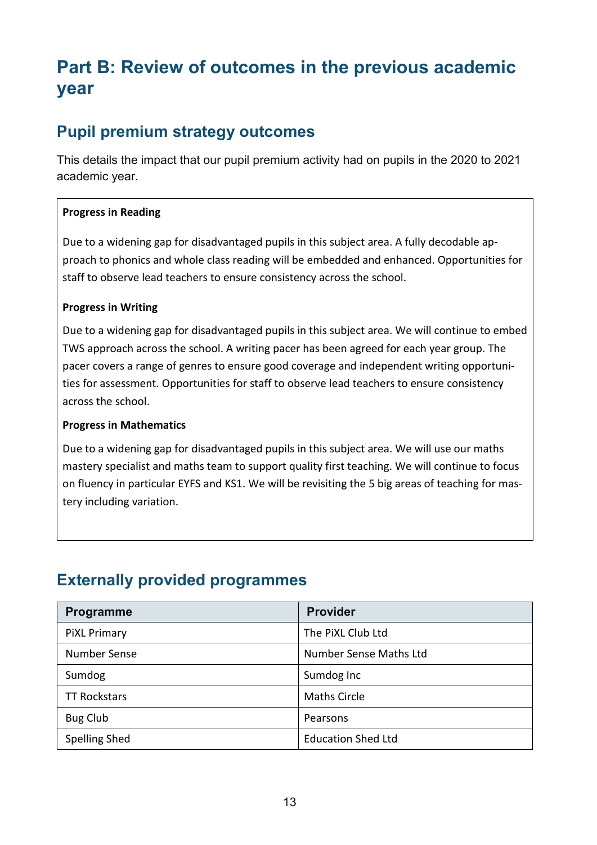## **Part B: Review of outcomes in the previous academic year**

### **Pupil premium strategy outcomes**

This details the impact that our pupil premium activity had on pupils in the 2020 to 2021 academic year.

#### **Progress in Reading**

Due to a widening gap for disadvantaged pupils in this subject area. A fully decodable approach to phonics and whole class reading will be embedded and enhanced. Opportunities for staff to observe lead teachers to ensure consistency across the school.

#### **Progress in Writing**

Due to a widening gap for disadvantaged pupils in this subject area. We will continue to embed TWS approach across the school. A writing pacer has been agreed for each year group. The pacer covers a range of genres to ensure good coverage and independent writing opportunities for assessment. Opportunities for staff to observe lead teachers to ensure consistency across the school.

#### **Progress in Mathematics**

Due to a widening gap for disadvantaged pupils in this subject area. We will use our maths mastery specialist and maths team to support quality first teaching. We will continue to focus on fluency in particular EYFS and KS1. We will be revisiting the 5 big areas of teaching for mastery including variation.

#### **Externally provided programmes**

| Programme            | <b>Provider</b>           |
|----------------------|---------------------------|
| <b>PiXL Primary</b>  | The PiXL Club Ltd         |
| Number Sense         | Number Sense Maths Ltd    |
| Sumdog               | Sumdog Inc                |
| <b>TT Rockstars</b>  | <b>Maths Circle</b>       |
| <b>Bug Club</b>      | Pearsons                  |
| <b>Spelling Shed</b> | <b>Education Shed Ltd</b> |